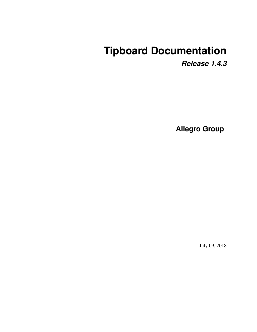# **Tipboard Documentation**

*Release 1.4.3*

**Allegro Group**

July 09, 2018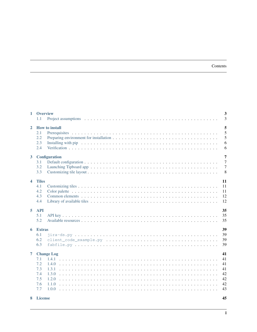#### Contents

| $\mathbf{1}$   | <b>Overview</b><br>1.1                        | 3<br>$\overline{3}$                                                                                                                                                                                                                                                              |
|----------------|-----------------------------------------------|----------------------------------------------------------------------------------------------------------------------------------------------------------------------------------------------------------------------------------------------------------------------------------|
| $\mathbf{2}$   | 2.1<br>2.2<br>2.3<br>2.4                      | 5<br><b>How to install</b><br>5<br>5<br>6<br>Installing with pip receiver receiver receiver receiver receiver receiver receiver receiver receiver receiver receiver receiver receiver receiver receiver receiver receiver receiver receiver receiver receiver receiver rece<br>6 |
| 3 <sup>1</sup> | 3.1<br>3.2<br>3.3                             | 7<br><b>Configuration</b><br>$\overline{7}$<br>$\overline{7}$<br>8                                                                                                                                                                                                               |
| 4              | <b>Tiles</b><br>4.1<br>4.2<br>4.3<br>4.4      | 11<br>11<br>11<br>12<br>12                                                                                                                                                                                                                                                       |
| 5              | <b>API</b><br>5.1<br>5.2                      | 35<br>35<br>35                                                                                                                                                                                                                                                                   |
| 6              | <b>Extras</b><br>6.1<br>6.2<br>6.3            | 39<br>39<br>39<br>39                                                                                                                                                                                                                                                             |
| $\overline{7}$ | 7.1<br>7.2<br>7.3<br>7.4<br>7.5<br>7.6<br>7.7 | 41<br><b>Change Log</b><br>41<br>41<br>1.4.0<br>41<br>1.3.1<br>42<br>1.3.0<br>42<br>1.2.0<br>42<br>1.1.0<br>43<br>1.0.0                                                                                                                                                          |

8 License

# 45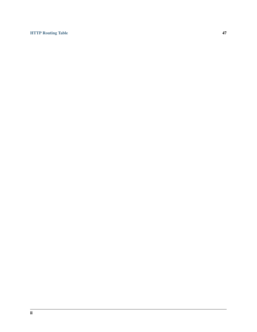### [HTTP Routing Table](#page-50-0) 47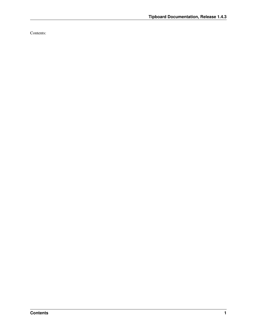Contents: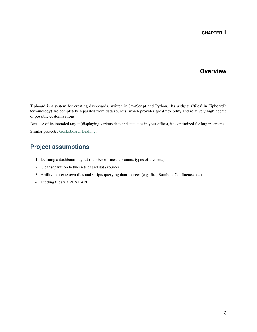### **Overview**

<span id="page-6-0"></span>Tipboard is a system for creating dashboards, written in JavaScript and Python. Its widgets ('tiles' in Tipboard's terminology) are completely separated from data sources, which provides great flexibility and relatively high degree of possible customizations.

Because of its intended target (displaying various data and statistics in your office), it is optimized for larger screens.

Similar projects: [Geckoboard,](http://www.geckoboard.com/) [Dashing.](http://shopify.github.io/dashing/)

# <span id="page-6-1"></span>**Project assumptions**

- 1. Defining a dashboard layout (number of lines, columns, types of tiles etc.).
- 2. Clear separation between tiles and data sources.
- 3. Ability to create own tiles and scripts querying data sources (e.g. Jira, Bamboo, Confluence etc.).
- 4. Feeding tiles via REST API.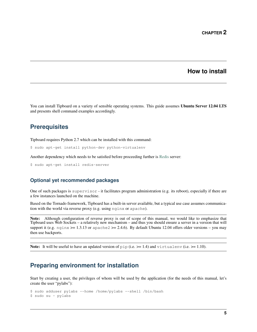### **How to install**

<span id="page-8-0"></span>You can install Tipboard on a variety of sensible operating systems. This guide assumes Ubuntu Server 12.04 LTS and presents shell command examples accordingly.

### <span id="page-8-1"></span>**Prerequisites**

Tipboard requires Python 2.7 which can be installed with this command:

\$ sudo apt-get install python-dev python-virtualenv

Another dependency which needs to be satisfied before proceeding further is [Redis](http://redis.io/) server:

\$ sudo apt-get install redis-server

### **Optional yet recommended packages**

One of such packages is supervisor - it facilitates program administration (e.g. its reboot), especially if there are a few instances launched on the machine.

Based on the Tornado framework, Tipboard has a built-in server available, but a typical use case assumes communication with the world via reverse proxy (e.g. using nginx or apache).

Note: Although configuration of reverse proxy is out of scope of this manual, we would like to emphasize that Tipboard uses Web Sockets – a relatively new mechanism – and thus you should ensure a server in a version that will support it (e.g.  $nqinx \ge 1.3.13$  or apache  $2 \ge 2.4.6$ ). By default Ubuntu 12.04 offers older versions – you may then use backports.

**Note:** It will be useful to have an updated version of pip (i.e.  $> = 1.4$ ) and virtualenv (i.e.  $> = 1.10$ ).

### <span id="page-8-2"></span>**Preparing environment for installation**

Start by creating a user, the privileges of whom will be used by the application (for the needs of this manual, let's create the user "pylabs"):

```
$ sudo adduser pylabs --home /home/pylabs --shell /bin/bash
$ sudo su - pylabs
```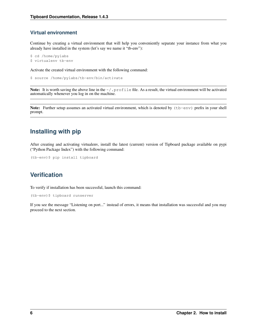### **Virtual environment**

Continue by creating a virtual environment that will help you conveniently separate your instance from what you already have installed in the system (let's say we name it "tb-env"):

```
$ cd /home/pylabs
$ virtualenv tb-env
```
Activate the created virtual environment with the following command:

\$ source /home/pylabs/tb-env/bin/activate

Note: It is worth saving the above line in the  $\sim/$ . profile file. As a result, the virtual environment will be activated automatically whenever you log in on the machine.

Note: Further setup assumes an activated virtual environment, which is denoted by (tb-env) prefix in your shell prompt.

# <span id="page-9-0"></span>**Installing with pip**

After creating and activating virtualenv, install the latest (current) version of Tipboard package available on pypi ("Python Package Index") with the following command:

```
(tb-env)$ pip install tipboard
```
# <span id="page-9-1"></span>**Verification**

To verify if installation has been successful, launch this command:

(tb-env)\$ tipboard runserver

If you see the message "Listening on port..." instead of errors, it means that installation was successful and you may proceed to the next section.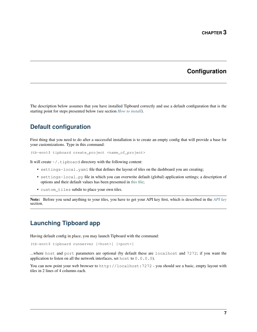# **Configuration**

<span id="page-10-0"></span>The description below assumes that you have installed Tipboard correctly and use a default configuration that is the starting point for steps presented below (see section *[How to install](#page-8-0)*).

# <span id="page-10-1"></span>**Default configuration**

First thing that you need to do after a successful installation is to create an empty config that will provide a base for your customizations. Type in this command:

(tb-env)\$ tipboard create\_project <name\_of\_project>

It will create ~/.tipboard directory with the following content:

- settings-local.yaml file that defines the layout of tiles on the dashboard you are creating;
- settings-local.py file in which you can overwrite default (global) application settings; a description of options and their default values has been presented in [this file;](https://github.com/allegro/tipboard/blob/develop/tipboard/settings.py)
- custom\_tiles subdir to place your own tiles.

Note: Before you send anything to your tiles, you have to get your API key first, which is described in the *[API key](#page-38-1)* section.

# <span id="page-10-2"></span>**Launching Tipboard app**

Having default config in place, you may launch Tipboard with the command:

(tb-env)\$ tipboard runserver [<host>] [<port>]

...where host and port parameters are optional (by default these are localhost and 7272; if you want the application to listen on all the network interfaces, set host to 0.0.0.0).

You can now point your web browser to http://localhost:7272 - you should see a basic, empty layout with tiles in 2 lines of 4 columns each.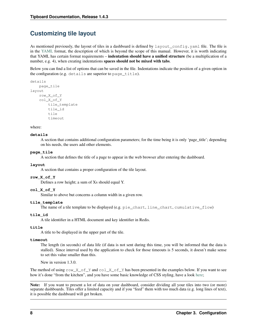# <span id="page-11-0"></span>**Customizing tile layout**

As mentioned previously, the layout of tiles in a dashboard is defined by layout\_config.yaml file. The file is in the [YAML](http://yaml.org) format, the description of which is beyond the scope of this manual. However, it is worth indicating that YAML has certain format requirements – indentation should have a unified structure (be a multiplication of a number, e.g. 4), when creating indentations spaces should not be mixed with tabs.

Below you can find a list of options that can be saved in the file. Indentations indicate the position of a given option in the configuration (e.g. details are superior to page\_title).

```
details
    page_tile
layout
    row_X_of_Y
    col_X_of_Y
        tile_template
        tile_id
        tile
        timeout
```
where:

#### **details**

A section that contains additional configuration parameters; for the time being it is only 'page\_title'; depending on his needs, the users add other elements.

#### **page\_tile**

A section that defines the title of a page to appear in the web browser after entering the dashboard.

### **layout**

A section that contains a proper configuration of the tile layout.

#### **row\_X\_of\_Y**

Defines a row height; a sum of Xs should equal Y.

#### **col\_X\_of\_Y**

Similar to above but concerns a column width in a given row.

#### **tile\_template**

The name of a tile template to be displayed (e.g. pie\_chart, line\_chart, cumulative\_flow)

#### **tile\_id**

A tile identifier in a HTML document and key identifier in Redis.

#### **title**

A title to be displayed in the upper part of the tile.

#### **timeout**

The length (in seconds) of data life (if data is not sent during this time, you will be informed that the data is stalled). Since interval used by the application to check for those timeouts is 5 seconds, it doesn't make sense to set this value smaller than this.

New in version 1.3.0.

The method of using  $row\_X\_of\_Y$  and  $col\_X\_of\_Y$  has been presented in the examples below. If you want to see how it's done "from the kitchen", and you have some basic knowledge of CSS styling, have a look [here;](https://github.com/allegro/tipboard/blob/develop/tipboard/static/css/layout.css)

Note: If you want to present a lot of data on your dashboard, consider dividing all your tiles into two (or more) separate dashboards. Tiles offer a limited capacity and if you "feed" them with too much data (e.g. long lines of text), it is possible the dashboard will get broken.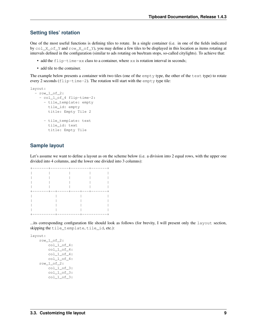### **Setting tiles' rotation**

One of the most useful functions is defining tiles to rotate. In a single container (i.e. in one of the fields indicated by col\_X\_of\_Y and row\_X\_of\_Y), you may define a few tiles to be displayed in this location as items rotating at intervals defined in the configuration (similar to ads rotating on bus/tram stops, so-called citylights). To achieve that:

- add the  $flip-time-xx$  class to a container, where  $xx$  is rotation interval in seconds;
- add tile to the container.

The example below presents a container with two tiles (one of the empty type, the other of the text type) to rotate every 2 seconds (flip-time-2). The rotation will start with the empty type tile:

```
layout:
  - row_1_of_2:
    - col_1_of_4 flip-time-2:
      - tile_template: empty
       tile_id: empty
        title: Empty Tile 2
      - tile_template: text
        tile_id: text
        title: Empty Tile
```
### **Sample layout**

Let's assume we want to define a layout as on the scheme below (i.e. a division into 2 equal rows, with the upper one divided into 4 columns, and the lower one divided into 3 columns):

| $\qquad \qquad - - -$ | ------- | $-1$ | $-- - -$                          |
|-----------------------|---------|------|-----------------------------------|
|                       |         |      |                                   |
|                       |         |      |                                   |
|                       |         |      |                                   |
|                       |         |      |                                   |
|                       |         |      | -------+--+-----+----+----+------ |
|                       |         |      |                                   |
|                       |         |      |                                   |
|                       |         |      |                                   |
|                       |         |      |                                   |
|                       |         |      |                                   |

...its corresponding configuration file should look as follows (for brevity, I will present only the layout section, skipping the tile\_template, tile\_id, etc.):

```
layout:
    row_1_of_2:
        col_1_of_4:
        col_1_of_4:
        col_1_of_4:
        col_1_of_4:
    row_1_of_2:
        col_1_of_3:
        col_1_of_3:
        col_1_of_3:
```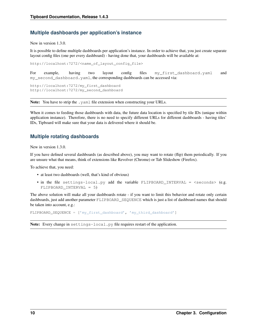### **Multiple dashboards per application's instance**

New in version 1.3.0.

It is possible to define multiple dashboards per application's instance. In order to achieve that, you just create separate layout config files (one per every dashboard) - having done that, your dashboards will be available at:

http://localhost:7272/<name\_of\_layout\_config\_file>

For example, having two layout config files my\_first\_dashboard.yaml and my\_second\_dashboard.yaml, the corresponding dashboards can be accessed via:

http://localhost:7272/my\_first\_dashboard http://localhost:7272/my\_second\_dashboard

Note: You have to strip the .yaml file extension when constructing your URLs.

When it comes to feeding those dashboards with data, the future data location is specified by tile IDs (unique within application instance). Therefore, there is no need to specify different URLs for different dashboards - having tiles' IDs, Tipboard will make sure that your data is delivered where it should be.

### **Multiple rotating dashboards**

New in version 1.3.0.

If you have defined several dashboards (as described above), you may want to rotate (flip) them periodically. If you are unsure what that means, think of extensions like Revolver (Chrome) or Tab Slideshow (Firefox).

To achieve that, you need:

- at least two dashboards (well, that's kind of obvious)
- in the file settings-local.py add the variable  $FLIPBOARD_INTERVAL$  = <seconds> (e.g. FLIPBOARD\_INTERVAL = 5)

The above solution will make all your dashboards rotate - if you want to limit this behavior and rotate only certain dashboards, just add another parameter FLIPBOARD\_SEQUENCE which is just a list of dashboard names that should be taken into account, e.g.:

FLIPBOARD\_SEQUENCE = ['my\_first\_dashboard', 'my\_third\_dashboard']

Note: Every change in settings-local.py file requires restart of the application.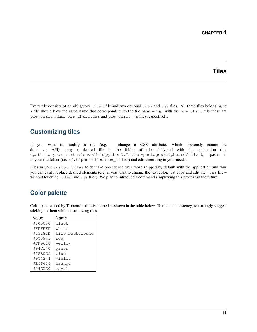### **Tiles**

<span id="page-14-0"></span>Every tile consists of an obligatory .html file and two optional .css and .js files. All three files belonging to a tile should have the same name that corresponds with the tile name  $-$  e.g. with the  $pie_{char}$  tile these are pie\_chart.html, pie\_chart.css and pie\_chart.js files respectively.

# <span id="page-14-1"></span>**Customizing tiles**

If you want to modify a tile (e.g. change a CSS attribute, which obviously cannot be done via API), copy a desired file in the folder of tiles delivered with the application (i.e. <path\_to\_your\_virtualenv>/lib/python2.7/site-packages/tipboard/tiles), paste it in your tile folder (i.e. ~/.tipboard/custom\_tiles) and edit according to your needs.

Files in your custom\_tiles folder take precedence over those shipped by default with the application and thus you can easily replace desired elements (e.g. if you want to change the text color, just copy and edit the .css file – without touching .html and .js files). We plan to introduce a command simplifying this process in the future.

# <span id="page-14-2"></span>**Color palette**

Color palette used by Tipboard's tiles is defined as shown in the table below. To retain consistency, we strongly suggest sticking to them while customizing tiles.

| Value   | Name            |  |
|---------|-----------------|--|
| #000000 | black           |  |
| #FFFFFF | white           |  |
| #25282D | tile background |  |
| #DC5945 | red             |  |
| #FF9618 | yellow          |  |
| #94C140 | green           |  |
| #12B0C5 | blue            |  |
| #9C4274 | violet          |  |
| #EC663C | orange          |  |
| #54C5C0 | naval           |  |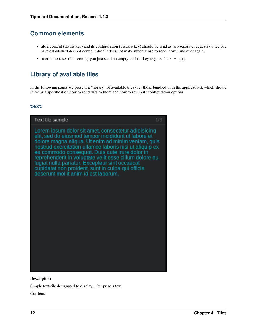# <span id="page-15-0"></span>**Common elements**

- tile's content (data key) and its configuration (value key) should be send as two separate requests once you have established desired configuration it does not make much sense to send it over and over again;
- in order to reset tile's config, you just send an empty value key (e.g. value =  $\{\})$ ).

# <span id="page-15-1"></span>**Library of available tiles**

In the following pages we present a "library" of available tiles (i.e. those bundled with the application), which should serve as a specification how to send data to them and how to set up its configuration options.

### **text**



#### Description

Simple text-tile designated to display... (surprise!) text.

#### Content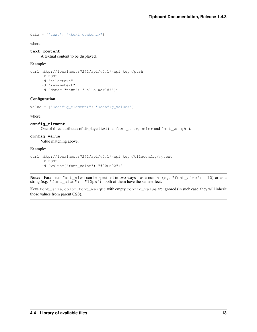```
data = {"text": "<text_content>"}
```
where:

#### **text\_content**

A textual content to be displayed.

#### Example:

```
curl http://localhost:7272/api/v0.1/<api_key>/push
    -X POST
    -d "tile=text"
    -d "key=mytext"
    -d 'data={"text": "Hello world!"}'
```
#### **Configuration**

```
value = {"<config_element>": "<config_value>"}
```
where:

#### **config\_element**

One of three attributes of displayed text (i.e. font\_size, color and font\_weight).

#### **config\_value**

Value matching above.

#### Example:

```
curl http://localhost:7272/api/v0.1/<api_key>/tileconfig/mytext
    -X POST
    -d 'value={"font_color": "#00FF00"}'
```
Note: Parameter font\_size can be specified in two ways - as a number (e.g. "font\_size": 10) or as a string (e.g. "font\_size": " $10px$ ") - both of them have the same effect.

Keys font\_size, color, font\_weight with empty config\_value are ignored (in such case, they will inherit those values from parent CSS).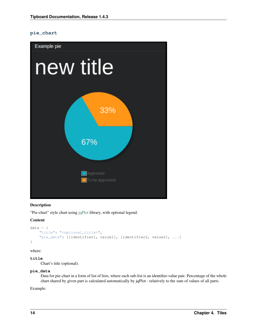### **pie\_chart**



#### Description

"Pie-chart" style chart using [jqPlot](http://www.jqplot.com/) library, with optional legend.

#### Content

```
data = {"title": "<optional_title>",
    "pie_data": [[identifier1, value1], [identifier2, value2], ...]
}
```
where:

#### **title**

Chart's title (optional).

#### **pie\_data**

Data for pie-chart in a form of list of lists, where each sub-list is an identifier-value pair. Percentage of the whole chart shared by given part is calculated automatically by jqPlot - relatively to the sum of values of all parts.

Example: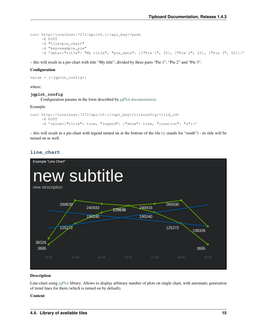```
curl http//localhost:7272/api/v0.1/<api_key>/push
    -X POST
    -d "tile=pie_chart"
    -d "key=example_pie"
    -d 'data={"title": "My title", "pie_data": [["Pie 1", 25], ["Pie 2", 25], ["Pie 3", 50]]}'
```
– this will result in a pie-chart with title "My title", divided by three parts "Pie 1", "Pie 2" and "Pie 3".

#### **Configuration**

```
value = {<jqplot_config>}
```
where:

#### **jqplot\_config**

Configuration params in the form described by [jqPlot documentation.](http://www.jqplot.com/tests/pie-donut-charts.php)

#### Example:

```
curl http://localhost:7272/api/v0.1/<api_key>/tileconfig/<tild_id>
    -X POST
     -d 'value={"title": true, "legend": {"show": true, "location": "s"}}'
```
– this will result in a pie-chart with legend turned on at the bottom of the tile (s stands for "south") - its title will be turned on as well.

### **line\_chart**



#### **Description**

Line-chart using [jqPlot](http://www.jqplot.com/) library. Allows to display arbitrary number of plots on single chart, with automatic generation of trend lines for them (which is turned on by default).

#### Content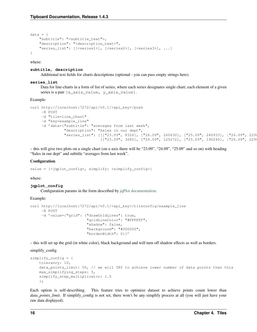```
data = f"subtitle": "<subtitle_text">,
    "description": "<description_text>",
    "series_list": [[<series1>], [<series2>], [<series3>], ...]
}
```
where:

#### **subtitle, description**

Additional text fields for charts descriptions (optional - you can pass empty strings here).

#### **series\_list**

Data for line-charts in a form of list of series, where each series designates single chart; each element of a given series is a pair [x\_axis\_value, y\_axis\_value].

#### Example:

```
curl http://localhost:7272/api/v0.1/<api key>/push
    -X POST
    -d "tile=line_chart"
    -d "key=example_line"
     -d 'data={"subtitle": "averages from last week",
               "description": "Sales in our dept",
               "series_list": [[["23.09", 8326], ["24.09", 260630], ["25.09", 240933], ["26.09", 229
                               [[T23.09", 3685], [T24.09", 125272], [T25.09", 190240], [T26.09", 2298]
```
– this will give two plots on a single chart (on x-axis there will be "23.09", "24.09", "25.09" and so on) with heading "Sales in our dept" and subtitle "averages from last week".

#### **Configuration**

```
value = {<jqplot_config>, simplify: <simplify_config>}
```
where:

### **jqplot\_config**

Configuration params in the form described by [jqPlot documentation.](http://www.jqplot.com/tests/line-charts.php)

#### Example:

```
curl http://localhost:7272/api/v0.1/<api_key>/tileconfig/example_line
     -X POST
     -d 'value={"grid": {"drawGridLines": true,
                         "gridLineColor": "#FFFFFF",
                         "shadow": false,
                         "background": "#000000",
                         "borderWidth": 0}}'
```
– this will set up the grid (in white color), black background and will turn off shadow effects as well as borders.

#### simplify\_config

```
simplify_config = {
    tolerancy: 10,
    data_points_limit: 50, // we will TRY to achieve lower number of data points than this
    max_simplifying_steps: 5,
    simplify_step_multiplicator: 1.5
    };
```
Each option is self-describing. This feature tries to optimize dataset to achieve points count lower than *data\_points\_limit*. If simplify\_config is not set, there won't be any simplify process at all (you will just have your raw data displayed).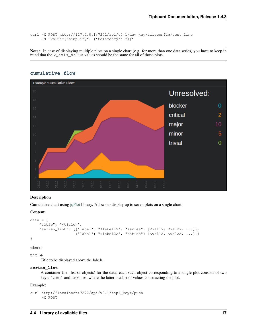```
curl -X POST http://127.0.0.1:7272/api/v0.1/dev_key/tileconfig/test_line
    -d 'value={"simplify": {"tolerancy": 2}}'
```
Note: In case of displaying multiple plots on a single chart (e.g. for more than one data series) you have to keep in mind that the  $x_axis\_value$  values should be the same for all of those plots.

#### **cumulative\_flow**



#### **Description**

Cumulative chart using [jqPlot](http://www.jqplot.com/) library. Allows to display up to seven plots on a single chart.

#### Content

```
data = {"title": "<title>",
    "series_list": [{"label": "<label1>", "series": [<val1>, <val2>, ...]},
                    {"label": "<label2>", "series": [<val1>, <val2>, ...]}]
}
```
where:

#### **title**

Title to be displayed above the labels.

#### **series\_list**

A container (i.e. list of objects) for the data; each such object corresponding to a single plot consists of two keys: label and series, where the latter is a list of values constructing the plot.

Example:

```
curl http://localhost:7272/api/v0.1/<api_key>/push
    -X POST
```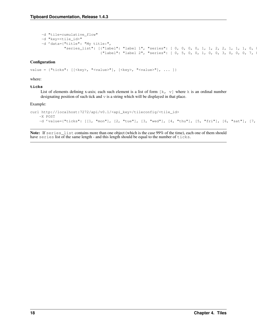```
-d "tile=cumulative_flow"
-d "key=<tile_id>"
-d 'data={"title": "My title:",
          "series_list": [{"label": "label 1", "series": [ 0, 0, 0, 0, 1, 1, 2, 2, 1, 1, 1, 0, 0
                          {"label": "label 2", "series": [ 0, 5, 0, 0, 1, 0, 0, 3, 0, 0, 0, 7, 8,
```
#### **Configuration**

value = {"ticks":  $[$  {<br/>key>, "<value>"],  $[$  {<key>, "<value>"], ... ]}

#### where:

#### **ticks**

List of elements defining x-axis; each such element is a list of form  $[k, v]$  where k is an ordinal number designating position of such tick and v is a string which will be displayed in that place.

#### Example:

```
curl http://localhost:7272/api/v0.1/<api_key>/tileconfig/<tile_id>
    -X POST
    -d 'value={"ticks": [[1, "mon"], [2, "tue"], [3, "wed"], [4, "thu"], [5, "fri"], [6, "sat"], [7,
```
Note: If series list contains more than one object (which is the case 99% of the time), each one of them should have series list of the same length - and this length should be equal to the number of ticks.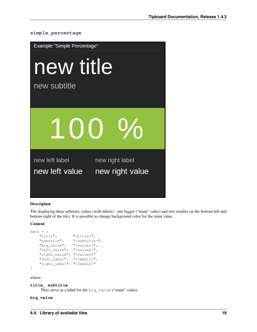



#### Description

Tile displaying three arbitrary values (with labels) - one bigger ("main" value) and two smaller (at the bottom-left and bottom-right of the tile). It is possible to change background color for the main value.

#### **Content**

```
data = \{"title": "<title>",
   "subtitle": "<subtitle>",
   "big_value": "<value1>",
   "left_value": "<value2>",
   "right_value": "<value3>"
   "left_label": "<label1>",
   "right_label": "<label2>"
}
```
where:

#### **title, subtitle**

They serve as a label for the big\_value ("main" value).

#### **big\_value**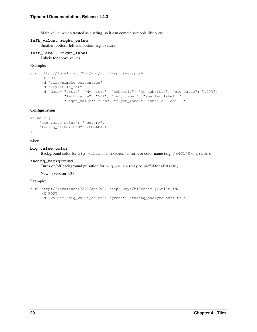Main value, which treated as a string, so it can contain symbols like  $\frac{1}{2}$  etc.

**left\_value, right\_value**

Smaller, bottom-left and bottom-right values.

#### **left\_label, right\_label**

Labels for above values.

#### Example:

```
curl http://localhost:7272/api/v0.1/<api_key>/push
    -X POST
    -d "tile=simple_percentage"
    -d "key=<tile_id>"
    -d 'data={"title": "My title", "subtitle": "My subtitle", "big_value": "100%",
               "left_value": "50%", "left_label": "smaller label 1",
               "right_value": "25%", "right_label": "smaller label 2"}'
```
#### **Configuration**

```
value = {
    "big_value_color": "<color>",
    "fading_background": <BOOLEAN>
}
```
#### where:

#### **big\_value\_color**

Background color for big\_value in a hexadecimal form or color name (e.g. #94C140 or green).

#### **fading\_background**

Turns on/off background pulsation for big\_value (may be useful for alerts etc.).

New in version 1.3.0.

#### Example:

```
curl http://localhost:7272/api/v0.1/<api_key>/tileconfig/<tile_id>
    -X POST
    -d 'value={"big_value_color": "green", "fading_background": true}'
```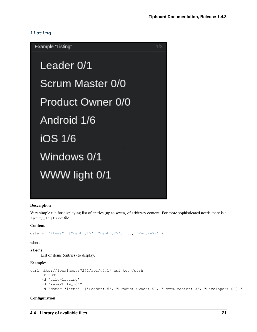### **listing**

 $1/3$ Example "Listing" Leader 0/1 Scrum Master 0/0 Product Owner 0/0 Android 1/6 iOS 1/6 Windows 0/1 WWW light 0/1

#### **Description**

Very simple tile for displaying list of entries (up to seven) of arbitrary content. For more sophisticated needs there is a fancy\_listing tile.

#### Content

```
data = {"items": ["<entry1>", "<entry2>", ..., "<entry7>"]}
```
where:

**items** List of items (entries) to display.

#### Example:

```
curl http://localhost:7272/api/v0.1/<api_key>/push
    -X POST
    -d "tile=listing"
    -d "key=<tile_id>"
    -d "data={"items": ["Leader: 5", "Product Owner: 0", "Scrum Master: 3", "Developer: 0"]}"
```
#### **Configuration**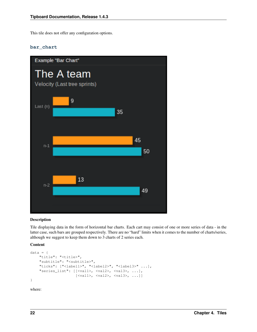This tile does not offer any configuration options.

### **bar\_chart**



#### Description

Tile displaying data in the form of horizontal bar charts. Each cart may consist of one or more series of data - in the latter case, such bars are grouped respectively. There are no "hard" limits when it comes to the number of charts/series, although we suggest to keep them down to 3 charts of 2 series each.

#### Content

```
data = {"title": "<title>",
    "subtitle": "<subtitle>",
    "ticks": ["<label1>", "<label2>", "<label3>" ...],
    "series_list": [[<val1>, <val2>, <val3>, ...],
                    [<val1>, <val2>, <val3>, ...]]
}
```
where: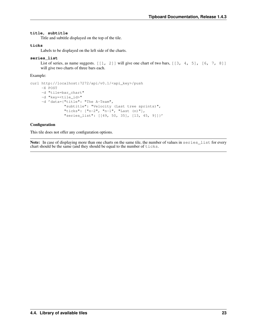#### **title, subtitle**

Title and subtitle displayed on the top of the tile.

#### **ticks**

Labels to be displayed on the left side of the charts.

#### **series\_list**

List of series, as name suggests.  $[1, 2]$  will give one chart of two bars,  $[3, 4, 5]$ ,  $[6, 7, 8]$ will give two charts of three bars each.

Example:

```
curl http://localhost:7272/api/v0.1/<api_key>/push
    -X POST
    -d "tile=bar_chart"
    -d "key=<tile_id>"
    -d 'data={"title": "The A-Team",
               "subtitle": "Velocity (Last tree sprints)",
               "ticks": ["n-2", "n-1", "Last (n)"],
               "series_list": [[49, 50, 35], [13, 45, 9]]}'
```
#### **Configuration**

This tile does not offer any configuration options.

Note: In case of displaying more than one charts on the same tile, the number of values in series\_list for every chart should be the same (and they should be equal to the number of ticks.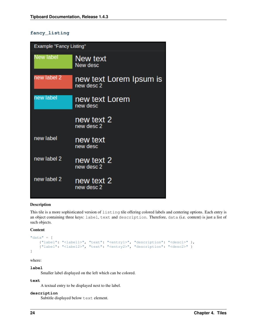### **fancy\_listing**

| Example "Fancy Listing" |                                       |  |  |  |  |  |
|-------------------------|---------------------------------------|--|--|--|--|--|
| <b>Jew label</b>        | New text<br>New desc                  |  |  |  |  |  |
| new label 2             | new text Lorem Ipsum is<br>new desc 2 |  |  |  |  |  |
| new label               | new text Lorem<br>new desc            |  |  |  |  |  |
|                         | new text 2<br>new desc 2              |  |  |  |  |  |
| new label               | new text<br>new desc                  |  |  |  |  |  |
| new label 2             | new text 2<br>new desc 2              |  |  |  |  |  |
| new label 2             | new text 2<br>new desc 2              |  |  |  |  |  |

#### Description

This tile is a more sophisticated version of listing tile offering colored labels and centering options. Each entry is an object containing three keys: label, text and description. Therefore, data (i.e. content) is just a list of such objects.

#### Content

```
"data" = [{"label": "<label1>", "text": "<entry1>", "description": "<desc1>" },
    {"label": "<label2>", "text": "<entry2>", "description": "<desc2>" }
]
```
where:

**label**

Smaller label displayed on the left which can be colored.

#### **text**

A textual entry to be displayed next to the label.

#### **description**

Subtitle displayed below text element.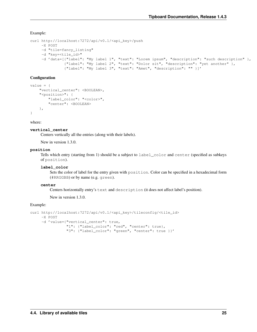Example:

```
curl http://localhost:7272/api/v0.1/<api_key>/push
    -X POST
    -d "tile=fancy_listing"
    -d "key=<tile_id>"
    -d 'data=[{"label": "My label 1", "text": "Lorem ipsum", "description": "such description" },
               {"label": "My label 2", "text": "Dolor sit", "description": "yet another" },
               {"label": "My label 3", "text": "Amet", "description": "" }]'
```
#### **Configuration**

```
value = f"vertical_center": <BOOLEAN>,
    "<position>": {
        "label_color": "<color>",
        "center": <BOOLEAN>
    },
}
```
where:

#### **vertical\_center**

Centers vertically all the entries (along with their labels).

New in version 1.3.0.

#### **position**

Tells which entry (starting from 1) should be a subject to label\_color and center (specified as subkeys of position).

#### **label\_color**

Sets the color of label for the entry given with position. Color can be specified in a hexadecimal form (#RRGGBB) or by name (e.g. green).

#### **center**

Centers horizontally entry's text and description (it does not affect label's position).

New in version 1.3.0.

#### Example:

```
curl http://localhost:7272/api/v0.1/<api_key>/tileconfig/<tile_id>
    -X POST
    -d 'value={"vertical_center": true,
                "1": {"label_color": "red", "center": true},
                "3": {"label_color": "green", "center": true }}'
```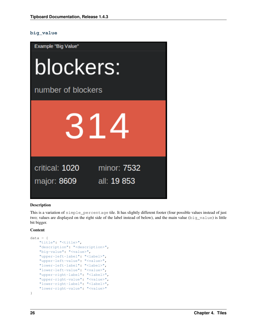#### **big\_value**



#### **Description**

This is a variation of simple\_percentage tile. It has slightly different footer (four possible values instead of just two; values are displayed on the right side of the label instead of below), and the main value (big\_value) is little bit bigger.

#### Content

```
data = \{"title": "<title>",
    "description": "<description>",
    "big-value": "<value>",
    "upper-left-label": "<label>",
    "upper-left-value": "<value>",
    "lower-left-label": "<label>",
    "lower-left-value": "<value>",
    "upper-right-label": "<label>",
    "upper-right-value": "<value>",
    "lower-right-label": "<label>",
    "lower-right-value": "<value>"
}
```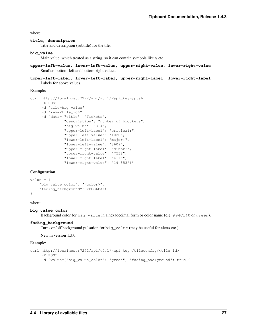where:

#### **title, description**

Title and description (subtitle) for the tile.

#### **big\_value**

Main value, which treated as a string, so it can contain symbols like  $\frac{1}{6}$  etc.

```
upper-left-value, lower-left-value, upper-right-value, lower-right-value
    Smaller, bottom-left and bottom-right values.
```

```
upper-left-label, lower-left-label, upper-right-label, lower-right-label
    Labels for above values.
```
Example:

```
curl http://localhost:7272/api/v0.1/<api_key>/push
     -X POST
     -d "tile=big_value"
     -d "key=<tile_id>"
     -d 'data={"title": "Tickets",
               "description": "number of blockers",
               "big-value": "314",
               "upper-left-label": "critical:",
               "upper-left-value": "1020",
               "lower-left-label": "major:",
               "lower-left-value": "8609",
               "upper-right-label": "minor:",
               "upper-right-value": "7532",
               "lower-right-label": "all:",
               "lower-right-value": "19 853"}'
```
#### **Configuration**

```
value = {
    "big_value_color": "<color>",
    "fading_background": <BOOLEAN>
}
```
#### where:

#### **big\_value\_color**

Background color for big\_value in a hexadecimal form or color name (e.g. #94C140 or green).

#### **fading\_background**

Turns on/off background pulsation for big\_value (may be useful for alerts etc.).

New in version 1.3.0.

#### Example:

```
curl http://localhost:7272/api/v0.1/<api_key>/tileconfig/<tile_id>
    -X POST
    -d 'value={"big_value_color": "green", "fading_background": true}'
```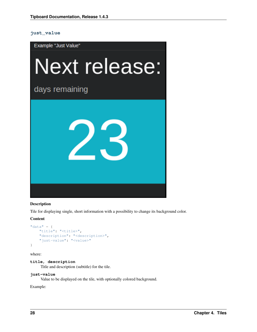#### **just\_value**



#### Description

Tile for displaying single, short information with a possibility to change its background color.

#### Content

```
"data" = \{"title": "<title>",
    "description": "<description>",
    "just-value": "<value>"
}
```
where:

#### **title, description**

Title and description (subtitle) for the tile.

#### **just-value**

Value to be displayed on the tile, with optionally colored background.

Example: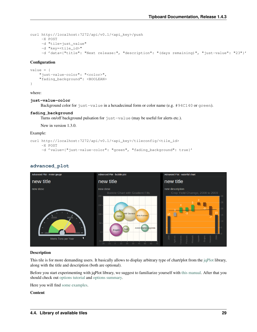```
curl http://localhost:7272/api/v0.1/<api_key>/push
    -X POST
    -d "tile=just_value"
    -d "key=<tile_id>"
    -d 'data={"title": "Next release:", "description": "(days remaining)", "just-value": "23"}'
```
#### **Configuration**

```
value = f"just-value-color": "<color>",
    "fading_background": <BOOLEAN>
}
```
where:

#### **just-value-color**

Background color for just-value in a hexadecimal form or color name (e.g. #94C140 or green).

#### **fading\_background**

Turns on/off background pulsation for just-value (may be useful for alerts etc.).

New in version 1.3.0.

Example:

```
curl http://localhost:7272/api/v0.1/<api_key>/tileconfig/<tile_id>
```

```
-X POST
```

```
-d 'value={"just-value-color": "green", "fading_background": true}'
```


### **advanced\_plot**

#### **Description**

This tile is for more demanding users. It basically allows to display arbitrary type of chart/plot from the [jqPlot](http://www.jqplot.com/) library, along with the title and description (both are optional).

Before you start experimenting with jqPlot library, we suggest to familiarize yourself with [this manual.](http://www.jqplot.com/docs/files/usage-txt.html#jqPlot_Usage) After that you should check out [options tutorial](http://www.jqplot.com/docs/files/optionsTutorial-txt.html#Options_Tutorial) and [options summary.](http://www.jqplot.com/docs/files/jqplot-core-js.html)

Here you will find [some examples.](http://www.jqplot.com/deploy/dist/examples/)

Content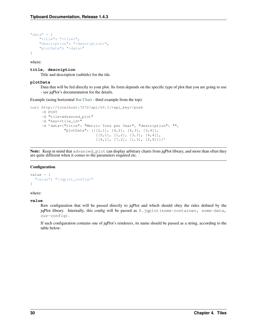```
"data" = \{"title": "<tile>",
    "description": "<description>",
    "plotData": "<data>"
}
```
where:

#### **title, description**

Title and description (subtitle) for the tile.

#### **plotData**

Data that will be fed directly to your plot. Its form depends on the specific type of plot that you are going to use - see jqPlot's documentation for the details.

Example (using horizontal [Bar Chart](http://www.jqplot.com/deploy/dist/examples/barTest.html) - third example from the top):

```
curl http://localhost:7272/api/v0.1/<api_key>/push
    -X POST
    -d "tile=advanced_plot"
    -d "key=<tile_id>"
    -d 'data={"title": "Metric Tons per Year", "description": "",
               "plotData": [[[2,1], [4,2], [6,3], [3,4]],
                             [ [5,1], [1,2], [3,3], [4,4]],[ [4,1], [7,2], [1,3], [2,4]]]
```
Note: Keep in mind that advanced\_plot can display arbitrary charts from jqPlot library, and more than often they are quite different when it comes to the parameters required etc.

#### Configuration

```
value = {
  "value": "<jqplot_config>"
}
```
#### where:

#### **value**

Raw configuration that will be passed directly to jqPlot and which should obey the rules defined by the jqPlot library. Internally, this config will be passed as  $\hat{s}$ . jqplot (some-container, some-data, our-config).

If such configuration contains one of jqPlot's renderers, its name should be passed as a string, according to the table below: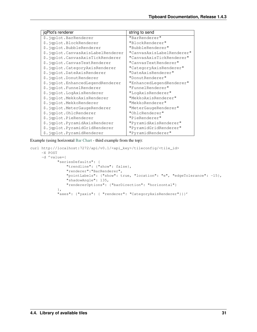| jqPlot's renderer                 | string to send            |
|-----------------------------------|---------------------------|
| \$.iqplot.BarRenderer             | "BarRenderer"             |
| \$.jqplot.BlockRenderer           | "BlockRenderer"           |
| \$.jqplot.BubbleRenderer          | "BubbleRenderer"          |
| \$.jqplot.CanvasAxisLabelRenderer | "CanvasAxisLabelRenderer" |
| \$.jqplot.CanvasAxisTickRenderer  | "CanvasAxisTickRenderer"  |
| \$.jqplot.CanvasTextRenderer      | "CanvasTextRenderer"      |
| \$.jqplot.CategoryAxisRenderer    | "CategoryAxisRenderer"    |
| \$.jqplot.DateAxisRenderer        | "DateAxisRenderer"        |
| \$.jqplot.DonutRenderer           | "DonutRenderer"           |
| \$.jqplot.EnhancedLegendRenderer  | "EnhancedLegendRenderer"  |
| \$.jqplot.FunnelRenderer          | "FunnelRenderer"          |
| \$.jqplot.LogAxisRenderer         | "LogAxisRenderer"         |
| \$.jqplot.MekkoAxisRenderer       | "MekkoAxisRenderer"       |
| \$.jqplot.MekkoRenderer           | "MekkoRenderer"           |
| \$.jqplot.MeterGaugeRenderer      | "MeterGaugeRenderer"      |
| \$.jqplot.OhlcRenderer            | "OhlcRenderer"            |
| \$.jqplot.PieRenderer             | "PieRenderer"             |
| \$.jqplot.PyramidAxisRenderer     | "PyramidAxisRenderer"     |
| \$.jqplot.PyramidGridRenderer     | "PyramidGridRenderer"     |
| \$.jqplot.PyramidRenderer         | "PyramidRenderer"         |

Example (using horizontal [Bar Chart](http://www.jqplot.com/deploy/dist/examples/barTest.html) - third example from the top):

```
curl http://localhost:7272/api/v0.1/<api_key>/tileconfig/<tile_id>
    -X POST
    -d 'value={
            "seriesDefaults": {
                "trendline": {"show": false},
                "renderer":"BarRenderer",
                "pointLabels": {"show": true, "location": "e", "edgeTolerance": -15},
                "shadowAngle": 135,
                "rendererOptions": {"barDirection": "horizontal"}
            },
            "axes": {"yaxis": { "renderer": "CategoryAxisRenderer"}}}'
```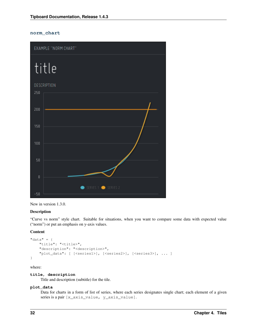### **norm\_chart**





#### Description

"Curve vs norm" style chart. Suitable for situations, when you want to compare some data with expected value ("norm") or put an emphasis on y-axis values.

#### Content

```
"data" = {"title": "<title>",
    "description": "<description>",
    "plot_data": [ [<series1>], [<series2>], [<series3>], ... ]
}
```
where:

#### **title, description**

Title and description (subtitle) for the tile.

#### **plot\_data**

Data for charts in a form of list of series, where each series designates single chart; each element of a given series is a pair [x\_axis\_value, y\_axis\_value].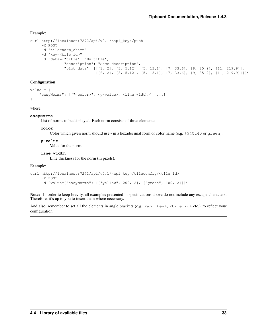Example:

```
curl http://localhost:7272/api/v0.1/<api_key>/push
    -X POST
    -d "tile=norm_chart"
    -d "key=<tile_id>"
    -d 'data={"title": "My title",
               "description": "Some description",
               "plot_data": [[[1, 2], [3, 5.12], [5, 13.1], [7, 33.6], [9, 85.9], [11, 219.9]],
                             [(6, 2], [3, 5.12], [5, 13.1], [7, 33.6], [9, 85.9], [11, 219.9]]]'
```
#### **Configuration**

```
value = {
    "easyNorms": [["<color>", <y-value>, <line_width>], ...]
}
```
where:

#### **easyNorms**

List of norms to be displayed. Each norm consists of three elements:

#### **color**

Color which given norm should use - in a hexadecimal form or color name (e.g.  $\#94C140$  or green).

#### **y-value**

Value for the norm.

#### **line\_width**

Line thickness for the norm (in pixels).

Example:

```
curl http://localhost:7272/api/v0.1/<api_key>/tileconfig/<tile_id>
    -X POST
    -d 'value={"easyNorms": [["yellow", 200, 2], ["green", 100, 2]]}'
```
Note: In order to keep brevity, all examples presented in specifications above do not include any escape characters. Therefore, it's up to you to insert them where necessary.

And also, remember to set all the elements in angle brackets (e.g.  $\langle$ api\_key>,  $\langle$ tile\_id> etc.) to reflect your configuration.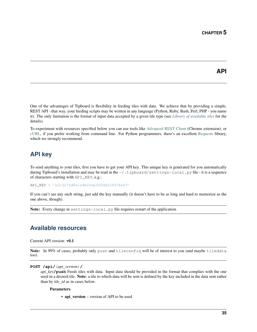<span id="page-38-0"></span>One of the advantages of Tipboard is flexibility in feeding tiles with data. We achieve that by providing a simple, REST API - that way, your feeding scripts may be written in any language (Python, Ruby, Bash, Perl, PHP - you name it). The only limitation is the format of input data accepted by a given tile type (see *[Library of available tiles](#page-15-1)* for the details).

To experiment with resources specified below you can use tools like [Advanced REST Client](http://chromerestclient.appspot.com/) (Chrome extension), or [cURL,](http://curl.haxx.se/) if you prefer working from command line. For Python programmers, there's an excellent [Requests](http://docs.python-requests.org/en/latest/) library, which we strongly recommend.

# <span id="page-38-1"></span>**API key**

To send anything to your tiles, first you have to get your API key. This unique key is generated for you automatically during Tipboard's installation and may be read in the  $\sim$ /.tipboard/settings-local.py file - it is a sequence of characters starting with API\_KEY, e.g.:

API\_KEY = 'e2c3275d0e1a4bc0da360dd225d74a43'

If you can't see any such string, just add the key manually (it doesn't have to be as long and hard to memorize as the one above, though).

Note: Every change in settings-local.py file requires restart of the application.

# <span id="page-38-2"></span>**Available resources**

Current API version: v0.1

Note: In 99% of cases, probably only push and tileconfig will be of interest to you (and maybe tiledata too).

<span id="page-38-3"></span>**POST /api/**(*api\_version*)**/**

*api\_key***/push** Feeds tiles with data. Input data should be provided in the format that complies with the one used in a desired tile. Note: a tile to which data will be sent is defined by the key included in the data sent rather than by *tile\_id* as in cases below.

#### **Parameters**

• api\_version – version of API to be used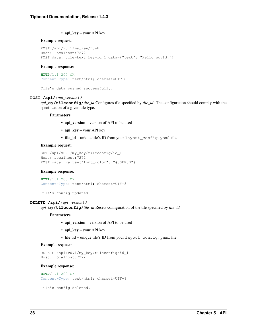• api\_key – your API key

#### Example request:

```
POST /api/v0.1/my_key/push
Host: localhost:7272
POST data: tile=text key=id_1 data={"text": "Hello world!"}
```
#### Example response:

```
HTTP/1.1 200 OK
Content-Type: text/html; charset=UTF-8
```

```
Tile's data pushed successfully.
```
#### <span id="page-39-1"></span>**POST /api/**(*api\_version*)**/**

*api\_key***/tileconfig/***tile\_id* Configures tile specified by *tile\_id*. The configuration should comply with the specification of a given tile type.

#### Parameters

- api\_version version of API to be used
- api\_key your API key
- tile\_id unique tile's ID from your layout\_config.yaml file

#### Example request:

```
GET /api/v0.1/my_key/tileconfig/id_1
Host: localhost:7272
POST data: value={"font_color": "#00FF00"}
```
#### Example response:

```
HTTP/1.1 200 OK
Content-Type: text/html; charset=UTF-8
```

```
Tile's config updated.
```
#### <span id="page-39-2"></span>**DELETE /api/**(*api\_version*)**/**

*api\_key***/tileconfig/***tile\_id* Resets configuration of the tile specified by *tile\_id*.

#### Parameters

- api version version of API to be used
- api\_key your API key
- tile\_id unique tile's ID from your layout\_config.yaml file

#### Example request:

```
DELETE /api/v0.1/my_key/tileconfig/id_1
Host: localhost:7272
```
#### Example response:

```
HTTP/1.1 200 OK
Content-Type: text/html; charset=UTF-8
```

```
Tile's config deleted.
```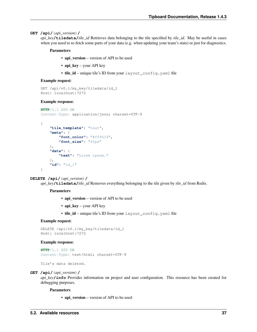#### **GET /api/**(*api\_version*)**/**

*api\_key***/tiledata/***tile\_id* Retrieves data belonging to the tile specified by *tile\_id*. May be useful in cases when you need to re-fetch some parts of your data (e.g. when updating your team's stats) or just for diagnostics.

#### Parameters

- api version version of API to be used
- api\_key your API key
- tile\_id unique tile's ID from your layout\_config.yaml file

#### Example request:

```
GET /api/v0.1/my_key/tiledata/id_1
Host: localhost:7272
```
#### Example response:

```
HTTP/1.1 200 OK
Content-Type: application/json; charset=UTF-8
```

```
{
    "tile_template": "text",
    "meta": {
        "font_color": "#ff9618",
        "font_size": "45px"
    },
    "data": {
        "text": "Lorem ipsum."
    },
    "id": "id_1"
}
```
#### <span id="page-40-1"></span>**DELETE /api/**(*api\_version*)**/**

*api\_key***/tiledata/***tile\_id* Removes everything belonging to the tile given by *tile\_id* from Redis.

#### Parameters

- api\_version version of API to be used
- api\_key your API key
- tile id unique tile's ID from your layout config.yaml file

#### Example request:

```
DELETE /api/v0.1/my_key/tiledata/id_1
Host: localhost:7272
```
#### Example response:

```
HTTP/1.1 200 OK
Content-Type: text/html; charset=UTF-8
```

```
Tile's data deleted.
```
#### <span id="page-40-0"></span>**GET /api/**(*api\_version*)**/**

*api key*/info Provides information on project and user configuration. This resource has been created for debugging purposes.

#### Parameters

• api\_version – version of API to be used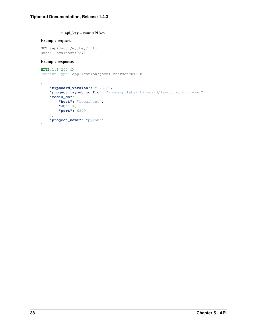• api\_key – your API key

### Example request:

GET /api/v0.1/my\_key/info Host: localhost:7272

#### Example response:

```
HTTP/1.1 200 OK
Content-Type: application/json; charset=UTF-8
```

```
{
    "tipboard_version": "1.3.0",
    "project_layout_config": "/home/pylabs/.tipboard/layout_config.yaml",
    "redis_db": {
       "host": "localhost",
        "db": 4,
        "port": 6379
    },
    "project_name": "pylabs"
}
```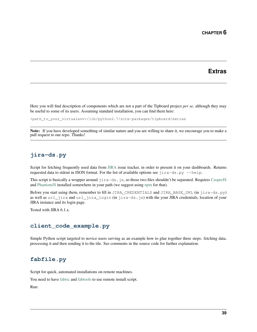# **Extras**

<span id="page-42-0"></span>Here you will find description of components which are not a part of the Tipboard project *per se*, although they may be useful to some of its users. Assuming standard installation, you can find them here:

<path\_to\_your\_virtualenv>/lib/python2.7/site-packages/tipboard/extras

Note: If you have developed something of similar nature and you are willing to share it, we encourage you to make a pull request to our repo. Thanks!

# <span id="page-42-1"></span>**jira-ds.py**

Script for fetching frequently used data from [JIRA](https://www.atlassian.com/software/jira) issue tracker, in order to present it on your dashboards. Returns requested data to stdout in JSON format. For the list of available options see  $jira-ds.py$  -help.

This script is basically a wrapper around jira-ds.js, so those two files shouldn't be separated. Requires [CasperJS](http://casperjs.org/) and [PhantomJS](http://phantomjs.org/) installed somewhere in your path (we suggest using [npm](http://nodejs.org/) for that).

Before you start using them, remember to fill in JIRA\_CREDENTIALS and JIRA\_BASE\_URL (in jira-ds.py) as well as url\_jira and url\_jira\_login (in jira-ds.js) with the your JIRA credentials, location of your JIRA instance and its login page.

Tested with JIRA 6.1.x.

### <span id="page-42-2"></span>**client\_code\_example.py**

Simple Python script targeted to novice users serving as an example how to glue together three steps: fetching data, processing it and then sending it to the tile. See comments in the source code for further explanation.

### <span id="page-42-3"></span>**fabfile.py**

Script for quick, automated installations on remote machines.

You need to have [fabric](https://github.com/ronnix/fabtools) and [fabtools](http://fabtools.readthedocs.org) to use remote install script.

Run: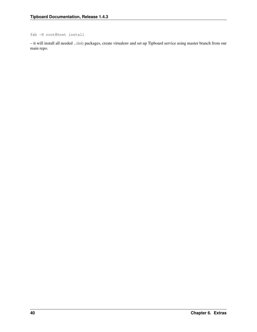fab -H root@host install

– it will install all needed .deb packages, create virualenv and set up Tipboard service using master branch from our main repo.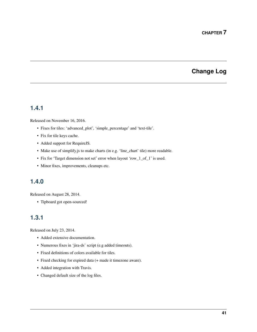# **Change Log**

# <span id="page-44-1"></span><span id="page-44-0"></span>**1.4.1**

Released on November 16, 2016.

- Fixes for tiles: 'advanced\_plot', 'simple\_percentage' and 'text-tile'.
- Fix for tile keys cache.
- Added support for RequireJS.
- Make use of simplify.js to make charts (in e.g. 'line\_chart' tile) more readable.
- Fix for 'Target dimension not set' error when layout 'row\_1\_of\_1' is used.
- Minor fixes, improvements, cleanups etc.

# <span id="page-44-2"></span>**1.4.0**

Released on August 28, 2014.

• Tipboard got open-sourced!

# <span id="page-44-3"></span>**1.3.1**

Released on July 23, 2014.

- Added extensive documentation.
- Numerous fixes in 'jira-ds' script (e.g added timeouts).
- Fixed definitions of colors available for tiles.
- Fixed checking for expired data (+ made it timezone aware).
- Added integration with Travis.
- Changed default size of the log files.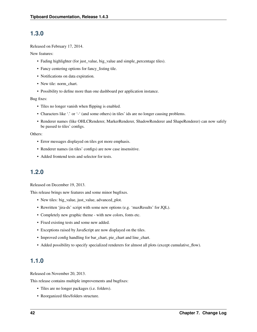## <span id="page-45-0"></span>**1.3.0**

Released on February 17, 2014.

New features:

- Fading highlighter (for just\_value, big\_value and simple\_percentage tiles).
- Fancy centering options for fancy\_listing tile.
- Notifications on data expiration.
- New tile: norm\_chart.
- Possibility to define more than one dashboard per application instance.

#### Bug fixes:

- Tiles no longer vanish when flipping is enabled.
- Characters like '.' or '-' (and some others) in tiles' ids are no longer causing problems.
- Renderer names (like OHLCRenderer, MarkerRenderer, ShadowRenderer and ShapeRenderer) can now safely be passed to tiles' configs.

#### Others:

- Error messages displayed on tiles got more emphasis.
- Renderer names (in tiles' configs) are now case insensitive.
- Added frontend tests and selector for tests.

# <span id="page-45-1"></span>**1.2.0**

Released on December 19, 2013.

This release brings new features and some minor bugfixes.

- New tiles: big\_value, just\_value, advanced\_plot.
- Rewritten 'jira-ds' script with some new options (e.g. 'maxResults' for JQL).
- Completely new graphic theme with new colors, fonts etc.
- Fixed existing tests and some new added.
- Exceptions raised by JavaScript are now displayed on the tiles.
- Improved config handling for bar\_chart, pie\_chart and line\_chart.
- Added possibility to specify specialized renderers for almost all plots (except cumulative\_flow).

## <span id="page-45-2"></span>**1.1.0**

Released on November 20, 2013.

This release contains multiple improvements and bugfixes:

- Tiles are no longer packages (i.e. folders).
- Reorganized files/folders structure.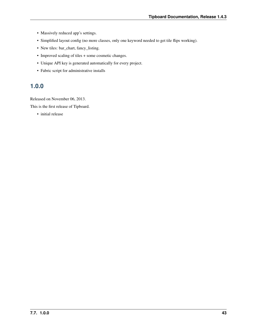- Massively reduced app's settings.
- Simplified layout config (no more classes, only one keyword needed to get tile flips working).
- New tiles: bar\_chart, fancy\_listing.
- Improved scaling of tiles + some cosmetic changes.
- Unique API key is generated automatically for every project.
- Fabric script for administrative installs

# <span id="page-46-0"></span>**1.0.0**

Released on November 06, 2013.

This is the first release of Tipboard.

• initial release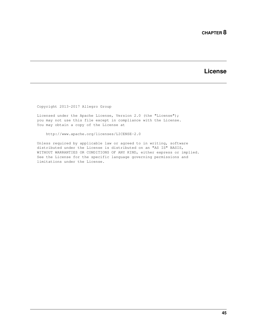# **License**

<span id="page-48-0"></span>Copyright 2013-2017 Allegro Group

Licensed under the Apache License, Version 2.0 (the "License"); you may not use this file except in compliance with the License. You may obtain a copy of the License at

http://www.apache.org/licenses/LICENSE-2.0

Unless required by applicable law or agreed to in writing, software distributed under the License is distributed on an "AS IS" BASIS, WITHOUT WARRANTIES OR CONDITIONS OF ANY KIND, either express or implied. See the License for the specific language governing permissions and limitations under the License.